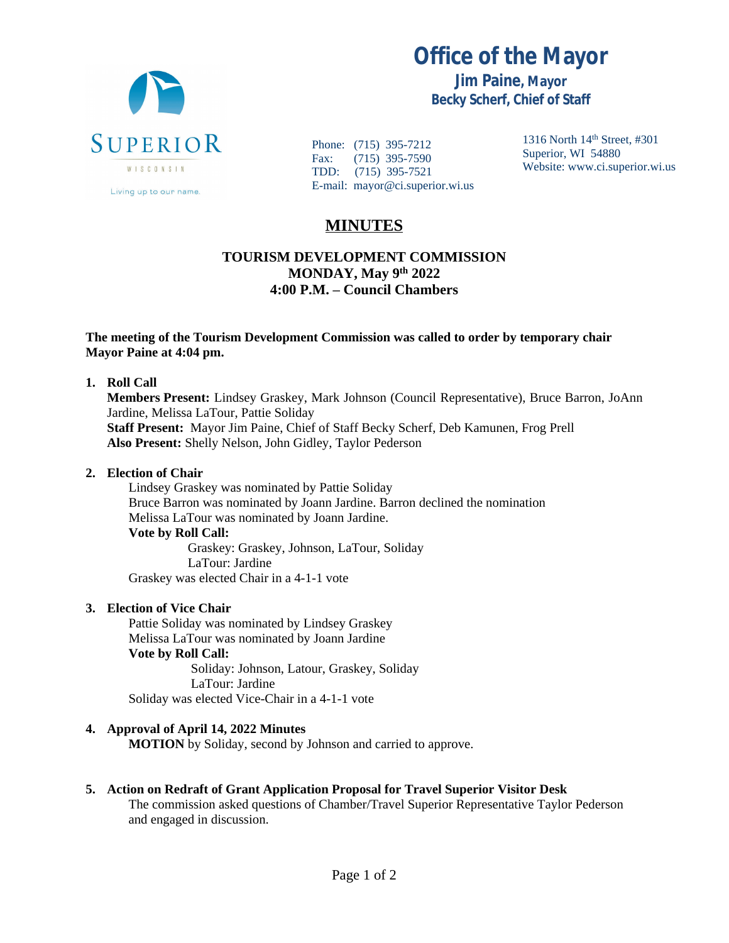

**Office of the Mayor**

**Jim Paine, Mayor Becky Scherf, Chief of Staff**

Phone: (715) 395-7212 Fax: (715) 395-7590 TDD: (715) 395-7521 E-mail: mayor@ci.superior.wi.us 1316 North 14th Street, #301 Superior, WI 54880 Website: www.ci.superior.wi.us

# **MINUTES**

## **TOURISM DEVELOPMENT COMMISSION MONDAY, May 9th 2022 4:00 P.M. – Council Chambers**

### **The meeting of the Tourism Development Commission was called to order by temporary chair Mayor Paine at 4:04 pm.**

### **1. Roll Call**

**Members Present:** Lindsey Graskey, Mark Johnson (Council Representative), Bruce Barron, JoAnn Jardine, Melissa LaTour, Pattie Soliday **Staff Present:** Mayor Jim Paine, Chief of Staff Becky Scherf, Deb Kamunen, Frog Prell **Also Present:** Shelly Nelson, John Gidley, Taylor Pederson

### **2. Election of Chair**

Lindsey Graskey was nominated by Pattie Soliday Bruce Barron was nominated by Joann Jardine. Barron declined the nomination Melissa LaTour was nominated by Joann Jardine. **Vote by Roll Call:** Graskey: Graskey, Johnson, LaTour, Soliday LaTour: Jardine

Graskey was elected Chair in a 4-1-1 vote

### **3. Election of Vice Chair**

Pattie Soliday was nominated by Lindsey Graskey Melissa LaTour was nominated by Joann Jardine **Vote by Roll Call:** Soliday: Johnson, Latour, Graskey, Soliday LaTour: Jardine Soliday was elected Vice-Chair in a 4-1-1 vote

### **4. Approval of April 14, 2022 Minutes**

**MOTION** by Soliday, second by Johnson and carried to approve.

### **5. Action on Redraft of Grant Application Proposal for Travel Superior Visitor Desk**

The commission asked questions of Chamber/Travel Superior Representative Taylor Pederson and engaged in discussion.